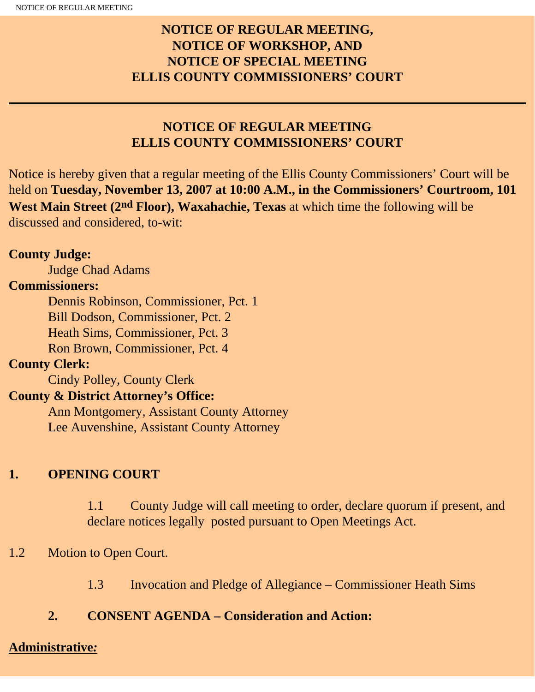# **NOTICE OF REGULAR MEETING, NOTICE OF WORKSHOP, AND NOTICE OF SPECIAL MEETING ELLIS COUNTY COMMISSIONERS' COURT**

# **NOTICE OF REGULAR MEETING ELLIS COUNTY COMMISSIONERS' COURT**

Notice is hereby given that a regular meeting of the Ellis County Commissioners' Court will be held on **Tuesday, November 13, 2007 at 10:00 A.M., in the Commissioners' Courtroom, 101 West Main Street (2nd Floor), Waxahachie, Texas** at which time the following will be discussed and considered, to-wit:

#### **County Judge:**

Judge Chad Adams

#### **Commissioners:**

 Dennis Robinson, Commissioner, Pct. 1 Bill Dodson, Commissioner, Pct. 2 Heath Sims, Commissioner, Pct. 3 Ron Brown, Commissioner, Pct. 4

# **County Clerk:**

Cindy Polley, County Clerk

## **County & District Attorney's Office:**

 Ann Montgomery, Assistant County Attorney Lee Auvenshine, Assistant County Attorney

## **1. OPENING COURT**

1.1 County Judge will call meeting to order, declare quorum if present, and declare notices legally posted pursuant to Open Meetings Act.

## 1.2 Motion to Open Court.

1.3 Invocation and Pledge of Allegiance – Commissioner Heath Sims

#### **2. CONSENT AGENDA – Consideration and Action:**

#### **Administrative***:*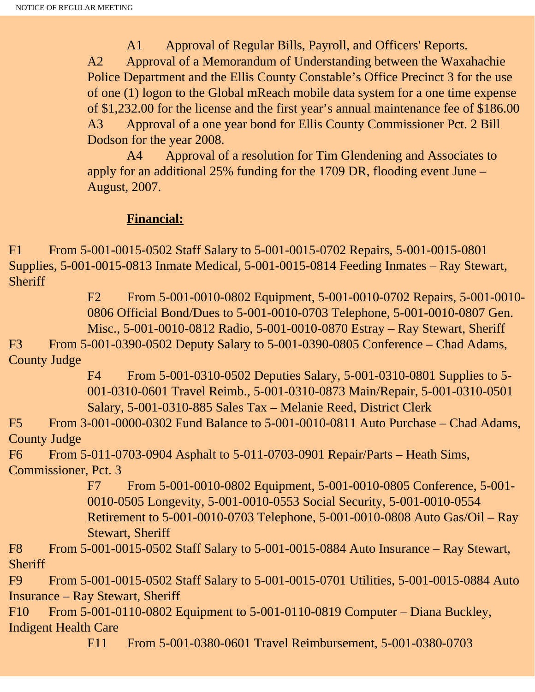A1 Approval of Regular Bills, Payroll, and Officers' Reports. A2 Approval of a Memorandum of Understanding between the Waxahachie Police Department and the Ellis County Constable's Office Precinct 3 for the use of one (1) logon to the Global mReach mobile data system for a one time expense of \$1,232.00 for the license and the first year's annual maintenance fee of \$186.00 A3 Approval of a one year bond for Ellis County Commissioner Pct. 2 Bill Dodson for the year 2008.

 A4 Approval of a resolution for Tim Glendening and Associates to apply for an additional 25% funding for the 1709 DR, flooding event June – August, 2007.

#### **Financial:**

F1 From 5-001-0015-0502 Staff Salary to 5-001-0015-0702 Repairs, 5-001-0015-0801 Supplies, 5-001-0015-0813 Inmate Medical, 5-001-0015-0814 Feeding Inmates – Ray Stewart, **Sheriff** 

> F2 From 5-001-0010-0802 Equipment, 5-001-0010-0702 Repairs, 5-001-0010- 0806 Official Bond/Dues to 5-001-0010-0703 Telephone, 5-001-0010-0807 Gen. Misc., 5-001-0010-0812 Radio, 5-001-0010-0870 Estray – Ray Stewart, Sheriff

F3 From 5-001-0390-0502 Deputy Salary to 5-001-0390-0805 Conference – Chad Adams, County Judge

> F4 From 5-001-0310-0502 Deputies Salary, 5-001-0310-0801 Supplies to 5- 001-0310-0601 Travel Reimb., 5-001-0310-0873 Main/Repair, 5-001-0310-0501 Salary, 5-001-0310-885 Sales Tax – Melanie Reed, District Clerk

F5 From 3-001-0000-0302 Fund Balance to 5-001-0010-0811 Auto Purchase – Chad Adams, County Judge

F6 From 5-011-0703-0904 Asphalt to 5-011-0703-0901 Repair/Parts – Heath Sims, Commissioner, Pct. 3

> F7 From 5-001-0010-0802 Equipment, 5-001-0010-0805 Conference, 5-001- 0010-0505 Longevity, 5-001-0010-0553 Social Security, 5-001-0010-0554 Retirement to 5-001-0010-0703 Telephone, 5-001-0010-0808 Auto Gas/Oil – Ray Stewart, Sheriff

F8 From 5-001-0015-0502 Staff Salary to 5-001-0015-0884 Auto Insurance – Ray Stewart, **Sheriff** 

F9 From 5-001-0015-0502 Staff Salary to 5-001-0015-0701 Utilities, 5-001-0015-0884 Auto Insurance – Ray Stewart, Sheriff

F10 From 5-001-0110-0802 Equipment to 5-001-0110-0819 Computer – Diana Buckley, Indigent Health Care

F11 From 5-001-0380-0601 Travel Reimbursement, 5-001-0380-0703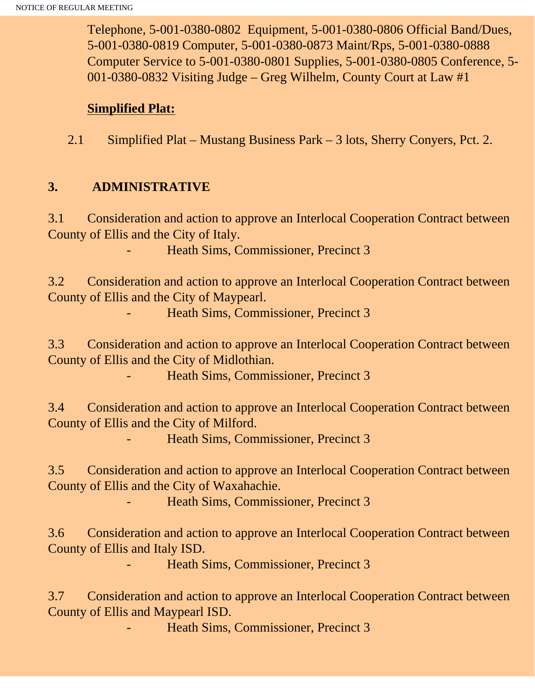Telephone, 5-001-0380-0802 Equipment, 5-001-0380-0806 Official Band/Dues, 5-001-0380-0819 Computer, 5-001-0380-0873 Maint/Rps, 5-001-0380-0888 Computer Service to 5-001-0380-0801 Supplies, 5-001-0380-0805 Conference, 5- 001-0380-0832 Visiting Judge – Greg Wilhelm, County Court at Law #1

#### **Simplified Plat:**

2.1 Simplified Plat – Mustang Business Park – 3 lots, Sherry Conyers, Pct. 2.

## **3. ADMINISTRATIVE**

3.1 Consideration and action to approve an Interlocal Cooperation Contract between County of Ellis and the City of Italy.

Heath Sims, Commissioner, Precinct 3

3.2 Consideration and action to approve an Interlocal Cooperation Contract between County of Ellis and the City of Maypearl.

Heath Sims, Commissioner, Precinct 3

3.3 Consideration and action to approve an Interlocal Cooperation Contract between County of Ellis and the City of Midlothian.

Heath Sims, Commissioner, Precinct 3

3.4 Consideration and action to approve an Interlocal Cooperation Contract between County of Ellis and the City of Milford.

Heath Sims, Commissioner, Precinct 3

3.5 Consideration and action to approve an Interlocal Cooperation Contract between County of Ellis and the City of Waxahachie.

Heath Sims, Commissioner, Precinct 3

3.6 Consideration and action to approve an Interlocal Cooperation Contract between County of Ellis and Italy ISD.

- Heath Sims, Commissioner, Precinct 3

3.7 Consideration and action to approve an Interlocal Cooperation Contract between County of Ellis and Maypearl ISD.

Heath Sims, Commissioner, Precinct 3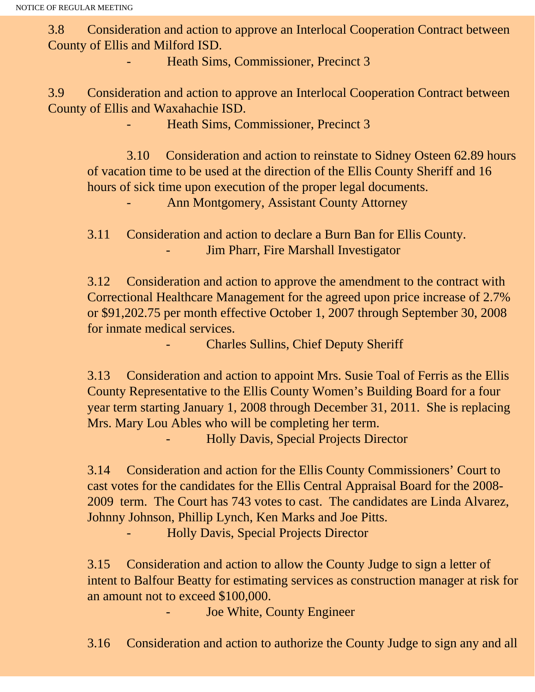3.8 Consideration and action to approve an Interlocal Cooperation Contract between County of Ellis and Milford ISD.

Heath Sims, Commissioner, Precinct 3

3.9 Consideration and action to approve an Interlocal Cooperation Contract between County of Ellis and Waxahachie ISD.

Heath Sims, Commissioner, Precinct 3

 3.10 Consideration and action to reinstate to Sidney Osteen 62.89 hours of vacation time to be used at the direction of the Ellis County Sheriff and 16 hours of sick time upon execution of the proper legal documents.

Ann Montgomery, Assistant County Attorney

3.11 Consideration and action to declare a Burn Ban for Ellis County. Jim Pharr, Fire Marshall Investigator

3.12 Consideration and action to approve the amendment to the contract with Correctional Healthcare Management for the agreed upon price increase of 2.7% or \$91,202.75 per month effective October 1, 2007 through September 30, 2008 for inmate medical services.

- Charles Sullins, Chief Deputy Sheriff

3.13 Consideration and action to appoint Mrs. Susie Toal of Ferris as the Ellis County Representative to the Ellis County Women's Building Board for a four year term starting January 1, 2008 through December 31, 2011. She is replacing Mrs. Mary Lou Ables who will be completing her term.

- Holly Davis, Special Projects Director

3.14 Consideration and action for the Ellis County Commissioners' Court to cast votes for the candidates for the Ellis Central Appraisal Board for the 2008- 2009 term. The Court has 743 votes to cast. The candidates are Linda Alvarez, Johnny Johnson, Phillip Lynch, Ken Marks and Joe Pitts.

- Holly Davis, Special Projects Director

3.15 Consideration and action to allow the County Judge to sign a letter of intent to Balfour Beatty for estimating services as construction manager at risk for an amount not to exceed \$100,000.

Joe White, County Engineer

3.16 Consideration and action to authorize the County Judge to sign any and all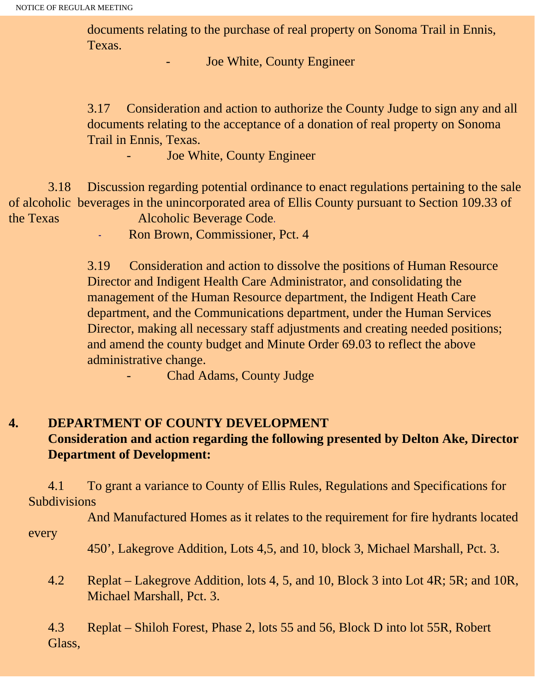documents relating to the purchase of real property on Sonoma Trail in Ennis, Texas.

Joe White, County Engineer

3.17 Consideration and action to authorize the County Judge to sign any and all documents relating to the acceptance of a donation of real property on Sonoma Trail in Ennis, Texas.

Joe White, County Engineer

 3.18 Discussion regarding potential ordinance to enact regulations pertaining to the sale of alcoholic beverages in the unincorporated area of Ellis County pursuant to Section 109.33 of the Texas Alcoholic Beverage Code.

- Ron Brown, Commissioner, Pct. 4

3.19 Consideration and action to dissolve the positions of Human Resource Director and Indigent Health Care Administrator, and consolidating the management of the Human Resource department, the Indigent Heath Care department, and the Communications department, under the Human Services Director, making all necessary staff adjustments and creating needed positions; and amend the county budget and Minute Order 69.03 to reflect the above administrative change.

Chad Adams, County Judge

# **4. DEPARTMENT OF COUNTY DEVELOPMENT**

## **Consideration and action regarding the following presented by Delton Ake, Director Department of Development:**

 4.1 To grant a variance to County of Ellis Rules, Regulations and Specifications for Subdivisions

 And Manufactured Homes as it relates to the requirement for fire hydrants located every

450', Lakegrove Addition, Lots 4,5, and 10, block 3, Michael Marshall, Pct. 3.

 4.2 Replat – Lakegrove Addition, lots 4, 5, and 10, Block 3 into Lot 4R; 5R; and 10R, Michael Marshall, Pct. 3.

4.3 Replat – Shiloh Forest, Phase 2, lots 55 and 56, Block D into lot 55R, Robert Glass,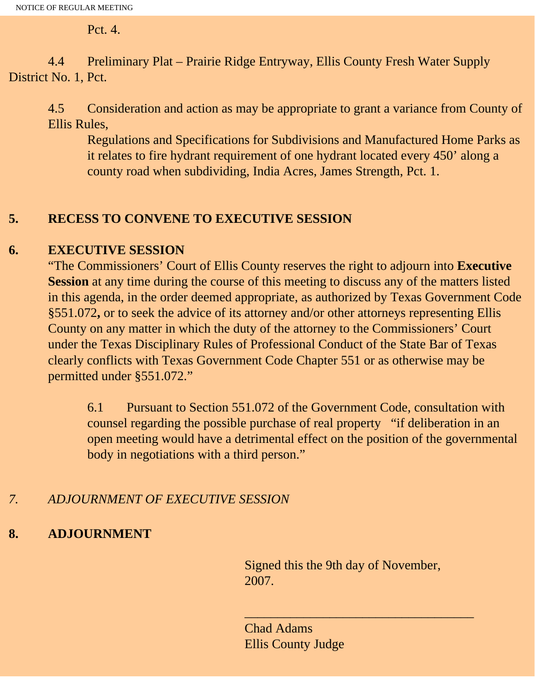Pct. 4.

 4.4 Preliminary Plat – Prairie Ridge Entryway, Ellis County Fresh Water Supply District No. 1, Pct.

4.5 Consideration and action as may be appropriate to grant a variance from County of Ellis Rules,

Regulations and Specifications for Subdivisions and Manufactured Home Parks as it relates to fire hydrant requirement of one hydrant located every 450' along a county road when subdividing, India Acres, James Strength, Pct. 1.

# **5. RECESS TO CONVENE TO EXECUTIVE SESSION**

## **6. EXECUTIVE SESSION**

"The Commissioners' Court of Ellis County reserves the right to adjourn into **Executive Session** at any time during the course of this meeting to discuss any of the matters listed in this agenda, in the order deemed appropriate, as authorized by Texas Government Code §551.072**,** or to seek the advice of its attorney and/or other attorneys representing Ellis County on any matter in which the duty of the attorney to the Commissioners' Court under the Texas Disciplinary Rules of Professional Conduct of the State Bar of Texas clearly conflicts with Texas Government Code Chapter 551 or as otherwise may be permitted under §551.072."

6.1 Pursuant to Section 551.072 of the Government Code, consultation with counsel regarding the possible purchase of real property "if deliberation in an open meeting would have a detrimental effect on the position of the governmental body in negotiations with a third person."

# *7. ADJOURNMENT OF EXECUTIVE SESSION*

# **8. ADJOURNMENT**

Signed this the 9th day of November, 2007.

\_\_\_\_\_\_\_\_\_\_\_\_\_\_\_\_\_\_\_\_\_\_\_\_\_\_\_\_\_\_\_\_\_\_\_

Chad Adams Ellis County Judge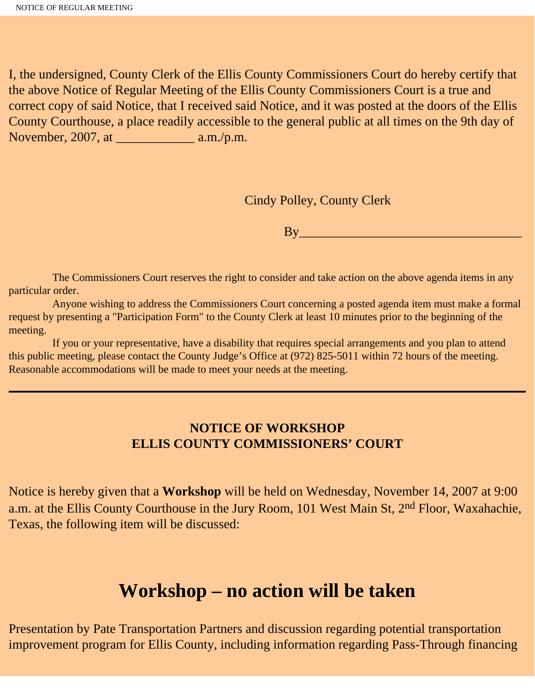I, the undersigned, County Clerk of the Ellis County Commissioners Court do hereby certify that the above Notice of Regular Meeting of the Ellis County Commissioners Court is a true and correct copy of said Notice, that I received said Notice, and it was posted at the doors of the Ellis County Courthouse, a place readily accessible to the general public at all times on the 9th day of November, 2007, at \_\_\_\_\_\_\_\_\_\_\_\_ a.m./p.m.

Cindy Polley, County Clerk

By\_\_\_\_\_\_\_\_\_\_\_\_\_\_\_\_\_\_\_\_\_\_\_\_\_\_\_\_\_\_\_\_\_\_

 The Commissioners Court reserves the right to consider and take action on the above agenda items in any particular order.

 Anyone wishing to address the Commissioners Court concerning a posted agenda item must make a formal request by presenting a "Participation Form" to the County Clerk at least 10 minutes prior to the beginning of the meeting.

 If you or your representative, have a disability that requires special arrangements and you plan to attend this public meeting, please contact the County Judge's Office at (972) 825-5011 within 72 hours of the meeting. Reasonable accommodations will be made to meet your needs at the meeting.

## **NOTICE OF WORKSHOP ELLIS COUNTY COMMISSIONERS' COURT**

Notice is hereby given that a **Workshop** will be held on Wednesday, November 14, 2007 at 9:00 a.m. at the Ellis County Courthouse in the Jury Room, 101 West Main St, 2<sup>nd</sup> Floor, Waxahachie, Texas, the following item will be discussed:

# **Workshop – no action will be taken**

Presentation by Pate Transportation Partners and discussion regarding potential transportation improvement program for Ellis County, including information regarding Pass-Through financing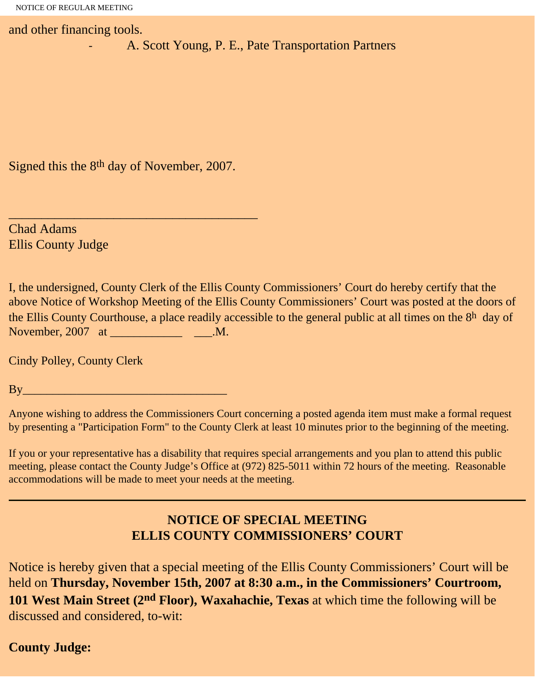and other financing tools.

A. Scott Young, P. E., Pate Transportation Partners

Signed this the 8th day of November, 2007.

\_\_\_\_\_\_\_\_\_\_\_\_\_\_\_\_\_\_\_\_\_\_\_\_\_\_\_\_\_\_\_\_\_\_\_\_\_\_

Chad Adams Ellis County Judge

I, the undersigned, County Clerk of the Ellis County Commissioners' Court do hereby certify that the above Notice of Workshop Meeting of the Ellis County Commissioners' Court was posted at the doors of the Ellis County Courthouse, a place readily accessible to the general public at all times on the 8h day of November, 2007 at \_\_\_\_\_\_\_\_\_\_\_\_\_\_\_\_\_\_\_\_\_\_\_.M.

Cindy Polley, County Clerk

 $Bv$ 

Anyone wishing to address the Commissioners Court concerning a posted agenda item must make a formal request by presenting a "Participation Form" to the County Clerk at least 10 minutes prior to the beginning of the meeting.

If you or your representative has a disability that requires special arrangements and you plan to attend this public meeting, please contact the County Judge's Office at (972) 825-5011 within 72 hours of the meeting. Reasonable accommodations will be made to meet your needs at the meeting.

# **NOTICE OF SPECIAL MEETING ELLIS COUNTY COMMISSIONERS' COURT**

Notice is hereby given that a special meeting of the Ellis County Commissioners' Court will be held on **Thursday, November 15th, 2007 at 8:30 a.m., in the Commissioners' Courtroom, 101 West Main Street (2nd Floor), Waxahachie, Texas** at which time the following will be discussed and considered, to-wit:

## **County Judge:**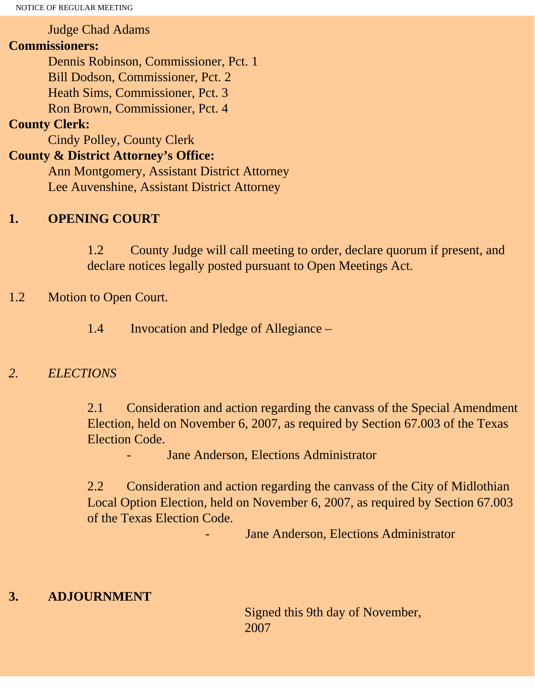NOTICE OF REGULAR MEETING

#### Judge Chad Adams

#### **Commissioners:**

 Dennis Robinson, Commissioner, Pct. 1 Bill Dodson, Commissioner, Pct. 2 Heath Sims, Commissioner, Pct. 3 Ron Brown, Commissioner, Pct. 4

# **County Clerk:**

Cindy Polley, County Clerk

# **County & District Attorney's Office:**

 Ann Montgomery, Assistant District Attorney Lee Auvenshine, Assistant District Attorney

## **1. OPENING COURT**

1.2 County Judge will call meeting to order, declare quorum if present, and declare notices legally posted pursuant to Open Meetings Act.

#### 1.2 Motion to Open Court.

1.4 Invocation and Pledge of Allegiance –

## *2. ELECTIONS*

2.1 Consideration and action regarding the canvass of the Special Amendment Election, held on November 6, 2007, as required by Section 67.003 of the Texas Election Code.

Jane Anderson, Elections Administrator

2.2 Consideration and action regarding the canvass of the City of Midlothian Local Option Election, held on November 6, 2007, as required by Section 67.003 of the Texas Election Code.

Jane Anderson, Elections Administrator

#### **3. ADJOURNMENT**

Signed this 9th day of November, 2007